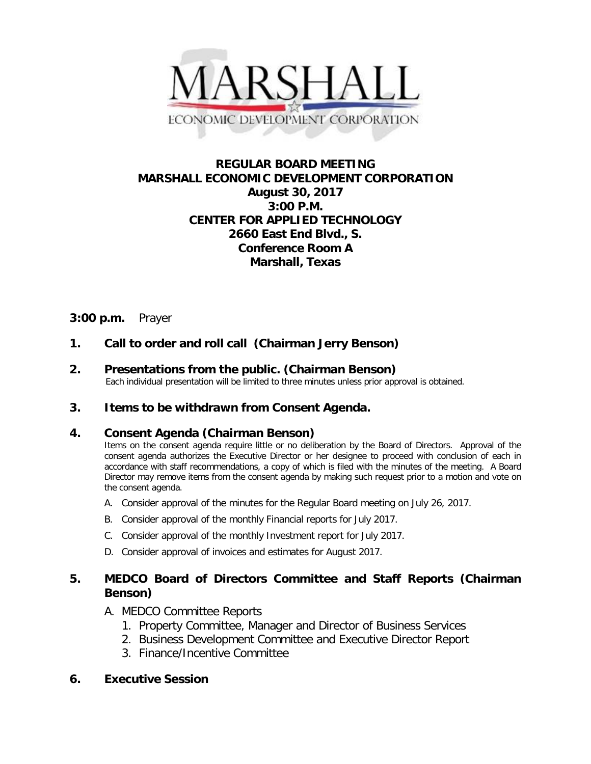

# **REGULAR BOARD MEETING MARSHALL ECONOMIC DEVELOPMENT CORPORATION August 30, 2017 3:00 P.M. CENTER FOR APPLIED TECHNOLOGY 2660 East End Blvd., S. Conference Room A Marshall, Texas**

# **3:00 p.m.** Prayer

# **1. Call to order and roll call (Chairman Jerry Benson)**

**2. Presentations from the public. (Chairman Benson)**<br>Each individual presentation will be limited to three minutes unless prior approval is obtained.

## **3. Items to be withdrawn from Consent Agenda.**

## **4. Consent Agenda (Chairman Benson)**

Items on the consent agenda require little or no deliberation by the Board of Directors. Approval of the consent agenda authorizes the Executive Director or her designee to proceed with conclusion of each in accordance with staff recommendations, a copy of which is filed with the minutes of the meeting. A Board Director may remove items from the consent agenda by making such request prior to a motion and vote on the consent agenda.

- A. Consider approval of the minutes for the Regular Board meeting on July 26, 2017.
- B. Consider approval of the monthly Financial reports for July 2017.
- C. Consider approval of the monthly Investment report for July 2017.
- D. Consider approval of invoices and estimates for August 2017.

## **5. MEDCO Board of Directors Committee and Staff Reports (Chairman Benson)**

## A. MEDCO Committee Reports

- 1. Property Committee, Manager and Director of Business Services
- 2. Business Development Committee and Executive Director Report
- 3. Finance/Incentive Committee

## **6. Executive Session**